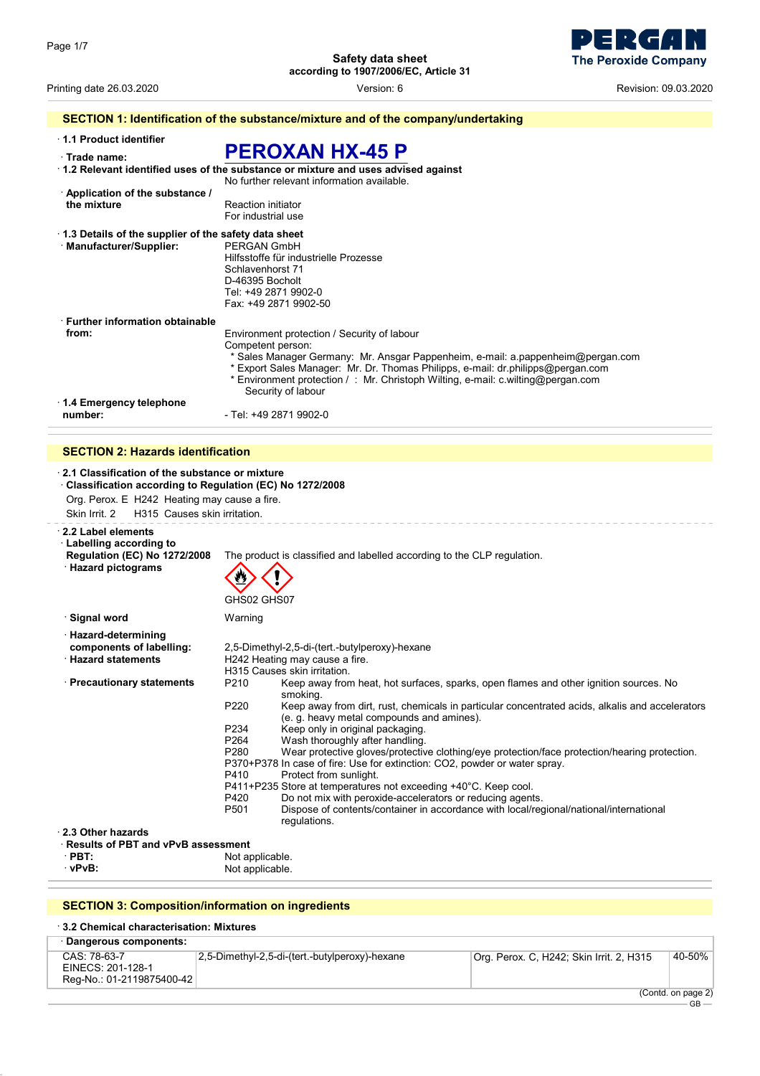

Printing date 26.03.2020 **Printing date 26.03.2020 Revision: 09.03.2020 Version: 6 Revision: 09.03.2020** 

#### **SECTION 1: Identification of the substance/mixture and of the company/undertaking** · **1.1 Product identifier** · **Trade name: PEROXAN HX-45 P** · **1.2 Relevant identified uses of the substance or mixture and uses advised against** No further relevant information available. · **Application of the substance / Reaction initiator** For industrial use · **1.3 Details of the supplier of the safety data sheet** · Manufacturer/Supplier: Hilfsstoffe für industrielle Prozesse Schlavenhorst 71 D-46395 Bocholt Tel: +49 2871 9902-0 Fax: +49 2871 9902-50 · **Further information obtainable from:** Environment protection / Security of labour Competent person: \* Sales Manager Germany: Mr. Ansgar Pappenheim, e-mail: a.pappenheim@pergan.com \* Export Sales Manager: Mr. Dr. Thomas Philipps, e-mail: dr.philipps@pergan.com \* Environment protection / : Mr. Christoph Wilting, e-mail: c.wilting@pergan.com Security of labour · **1.4 Emergency telephone number:**  $\overline{\phantom{0}}$  - Tel: +49 2871 9902-0

#### **SECTION 2: Hazards identification**

| 2.1 Classification of the substance or mixture<br>Classification according to Regulation (EC) No 1272/2008<br>Org. Perox. E H242 Heating may cause a fire.<br>H315 Causes skin irritation.<br>Skin Irrit. 2 |                                                                                                                                                                                                                                                                                                                                                                                                                                                                                                                                                                                                                                                                                                                                                                                                                                                                             |  |
|-------------------------------------------------------------------------------------------------------------------------------------------------------------------------------------------------------------|-----------------------------------------------------------------------------------------------------------------------------------------------------------------------------------------------------------------------------------------------------------------------------------------------------------------------------------------------------------------------------------------------------------------------------------------------------------------------------------------------------------------------------------------------------------------------------------------------------------------------------------------------------------------------------------------------------------------------------------------------------------------------------------------------------------------------------------------------------------------------------|--|
| 2.2 Label elements<br><b>Labelling according to</b><br><b>Regulation (EC) No 1272/2008</b><br><b>Hazard pictograms</b>                                                                                      | The product is classified and labelled according to the CLP regulation.<br>GHS02 GHS07                                                                                                                                                                                                                                                                                                                                                                                                                                                                                                                                                                                                                                                                                                                                                                                      |  |
| ∙ Signal word                                                                                                                                                                                               | Warning                                                                                                                                                                                                                                                                                                                                                                                                                                                                                                                                                                                                                                                                                                                                                                                                                                                                     |  |
| · Hazard-determining<br>components of labelling:<br><b>Hazard statements</b>                                                                                                                                | 2,5-Dimethyl-2,5-di-(tert.-butylperoxy)-hexane<br>H242 Heating may cause a fire.<br>H315 Causes skin irritation.                                                                                                                                                                                                                                                                                                                                                                                                                                                                                                                                                                                                                                                                                                                                                            |  |
| · Precautionary statements                                                                                                                                                                                  | Keep away from heat, hot surfaces, sparks, open flames and other ignition sources. No<br>P <sub>210</sub><br>smoking.<br>P220<br>Keep away from dirt, rust, chemicals in particular concentrated acids, alkalis and accelerators<br>(e. g. heavy metal compounds and amines).<br>P234<br>Keep only in original packaging.<br>P <sub>264</sub><br>Wash thoroughly after handling.<br>P <sub>280</sub><br>Wear protective gloves/protective clothing/eye protection/face protection/hearing protection.<br>P370+P378 In case of fire: Use for extinction: CO2, powder or water spray.<br>P410<br>Protect from sunlight.<br>P411+P235 Store at temperatures not exceeding +40°C. Keep cool.<br>P420<br>Do not mix with peroxide-accelerators or reducing agents.<br>Dispose of contents/container in accordance with local/regional/national/international<br>P <sub>501</sub> |  |
|                                                                                                                                                                                                             | regulations.                                                                                                                                                                                                                                                                                                                                                                                                                                                                                                                                                                                                                                                                                                                                                                                                                                                                |  |
| 2.3 Other hazards<br>· Results of PBT and vPvB assessment                                                                                                                                                   |                                                                                                                                                                                                                                                                                                                                                                                                                                                                                                                                                                                                                                                                                                                                                                                                                                                                             |  |
| $\cdot$ PBT:                                                                                                                                                                                                | Not applicable.                                                                                                                                                                                                                                                                                                                                                                                                                                                                                                                                                                                                                                                                                                                                                                                                                                                             |  |
| · vPvB:                                                                                                                                                                                                     | Not applicable.                                                                                                                                                                                                                                                                                                                                                                                                                                                                                                                                                                                                                                                                                                                                                                                                                                                             |  |

#### **SECTION 3: Composition/information on ingredients**

#### · **3.2 Chemical characterisation: Mixtures**

| Dangerous components:                                          |                                                |                                          |               |
|----------------------------------------------------------------|------------------------------------------------|------------------------------------------|---------------|
| CAS: 78-63-7<br>EINECS: 201-128-1<br>Reg-No.: 01-2119875400-42 | 2,5-Dimethyl-2,5-di-(tert.-butylperoxy)-hexane | Org. Perox. C, H242; Skin Irrit. 2, H315 | 40-50%        |
|                                                                |                                                |                                          | (Contdonnone) |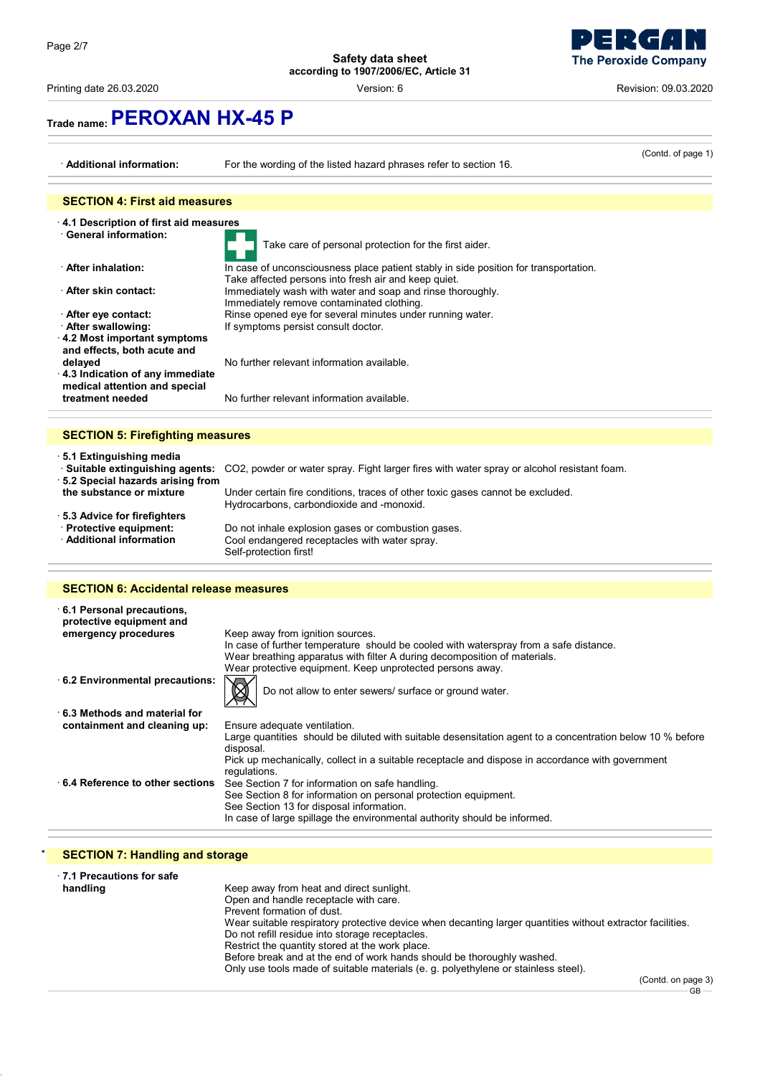Printing date 26.03.2020 Version: 6 Revision: 09.03.2020

# **The Peroxide Company**

# **Trade name:PEROXAN HX-45 P**

| · Additional information:                                          | For the wording of the listed hazard phrases refer to section 16.                                                                            | (Contd. of page 1) |
|--------------------------------------------------------------------|----------------------------------------------------------------------------------------------------------------------------------------------|--------------------|
|                                                                    |                                                                                                                                              |                    |
| <b>SECTION 4: First aid measures</b>                               |                                                                                                                                              |                    |
| 4.1 Description of first aid measures                              |                                                                                                                                              |                    |
| · General information:                                             | Take care of personal protection for the first aider.                                                                                        |                    |
| After inhalation:                                                  | In case of unconsciousness place patient stably in side position for transportation.<br>Take affected persons into fresh air and keep quiet. |                    |
| After skin contact:                                                | Immediately wash with water and soap and rinse thoroughly.<br>Immediately remove contaminated clothing.                                      |                    |
| After eye contact:                                                 | Rinse opened eye for several minutes under running water.                                                                                    |                    |
| · After swallowing:                                                | If symptoms persist consult doctor.                                                                                                          |                    |
| $\cdot$ 4.2 Most important symptoms<br>and effects, both acute and |                                                                                                                                              |                    |
| delayed                                                            | No further relevant information available                                                                                                    |                    |
| 4.3 Indication of any immediate                                    |                                                                                                                                              |                    |
| medical attention and special                                      |                                                                                                                                              |                    |
| treatment needed                                                   | No further relevant information available.                                                                                                   |                    |
|                                                                    |                                                                                                                                              |                    |
| <b>SECTION 5: Firefighting measures</b>                            |                                                                                                                                              |                    |
| ⋅5.1 Extinguishing media                                           | · <b>Suitable extinguishing agents:</b> CO2, powder or water spray. Fight larger fires with water spray or alcohol resistant foam.           |                    |

· **5.2 Special hazards arising from**

Under certain fire conditions, traces of other toxic gases cannot be excluded. Hydrocarbons, carbondioxide and -monoxid.

· **5.3 Advice for firefighters**

Do not inhale explosion gases or combustion gases. Cool endangered receptacles with water spray. Self-protection first!

### **SECTION 6: Accidental release measures**

| 6.1 Personal precautions,<br>protective equipment and |                                                                                                                        |
|-------------------------------------------------------|------------------------------------------------------------------------------------------------------------------------|
| emergency procedures                                  | Keep away from ignition sources.                                                                                       |
|                                                       | In case of further temperature should be cooled with waterspray from a safe distance.                                  |
|                                                       | Wear breathing apparatus with filter A during decomposition of materials.                                              |
|                                                       | Wear protective equipment. Keep unprotected persons away.                                                              |
| 6.2 Environmental precautions:                        | Do not allow to enter sewers/ surface or ground water.                                                                 |
| 6.3 Methods and material for                          |                                                                                                                        |
| containment and cleaning up:                          | Ensure adequate ventilation.                                                                                           |
|                                                       | Large quantities should be diluted with suitable desensitation agent to a concentration below 10 % before<br>disposal. |
|                                                       | Pick up mechanically, collect in a suitable receptacle and dispose in accordance with government<br>regulations.       |
| 6.4 Reference to other sections                       | See Section 7 for information on safe handling.                                                                        |
|                                                       | See Section 8 for information on personal protection equipment.                                                        |
|                                                       | See Section 13 for disposal information.                                                                               |
|                                                       | In case of large spillage the environmental authority should be informed.                                              |

## **SECTION 7: Handling and storage**

| 7.1 Precautions for safe |                                                                                                            |
|--------------------------|------------------------------------------------------------------------------------------------------------|
| handling                 | Keep away from heat and direct sunlight.                                                                   |
|                          | Open and handle receptacle with care.                                                                      |
|                          | Prevent formation of dust.                                                                                 |
|                          | Wear suitable respiratory protective device when decanting larger quantities without extractor facilities. |
|                          | Do not refill residue into storage receptacles.                                                            |
|                          | Restrict the quantity stored at the work place.                                                            |
|                          | Before break and at the end of work hands should be thoroughly washed.                                     |
|                          | Only use tools made of suitable materials (e. g. polyethylene or stainless steel).                         |
|                          | $(Contd$ on page                                                                                           |

(Contd. on page 3)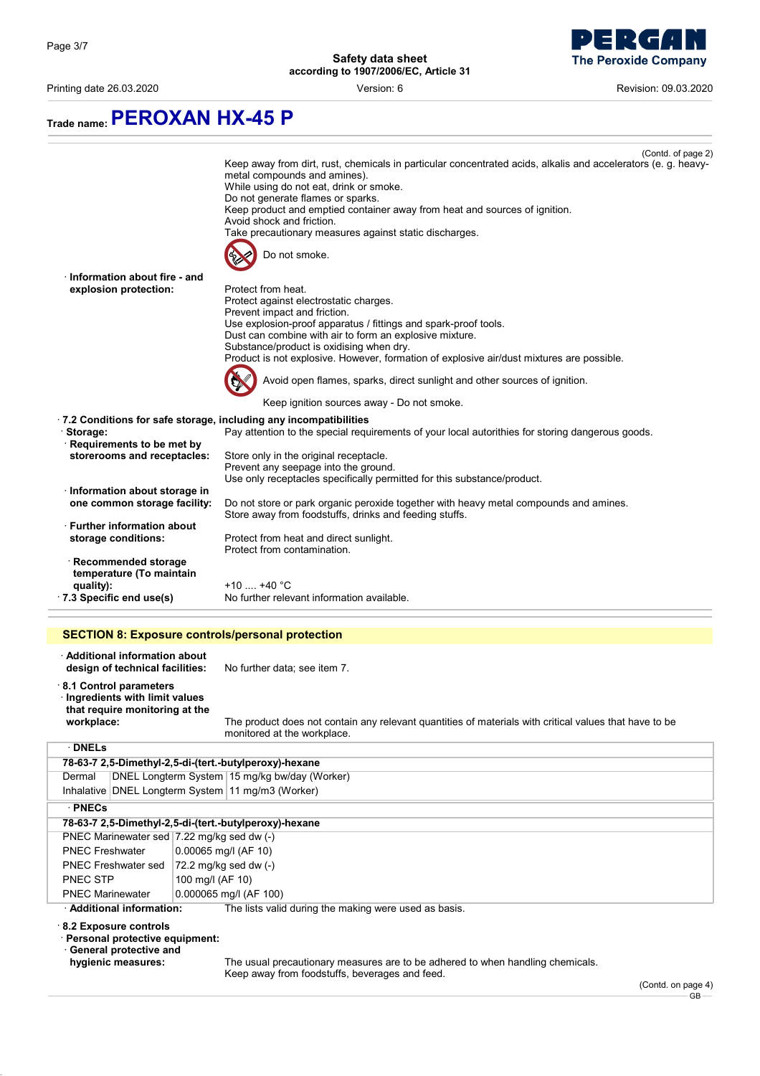Printing date 26.03.2020 Version: 6 Revision: 09.03.2020



**Trade name:PEROXAN HX-45 P**

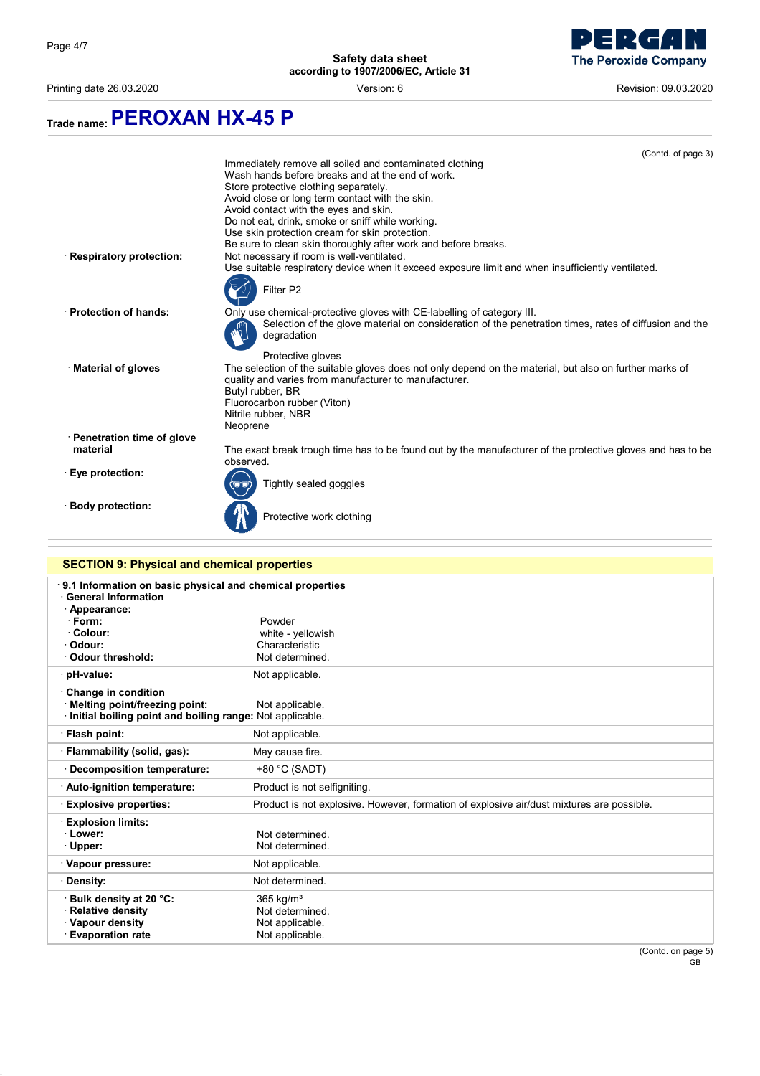Printing date 26.03.2020 Version: 6 Revision: 09.03.2020

**The Peroxide Company** 



## **SECTION 9: Physical and chemical properties** · **9.1 Information on basic physical and chemical properties** · **General Information** · **Appearance:** · **Form:** Powder · **Colour:** white - yellowish Characteristic<br>Not determined. · Odour threshold: · **pH-value:** Not applicable. · **Change in condition** · **Melting point/freezing point:** Not applicable. · **Initial boiling point and boiling range:** Not applicable. · **Flash point:** Not applicable. · **Flammability (solid, gas):** May cause fire. · **Decomposition temperature:** +80 °C (SADT) · **Auto-ignition temperature:** Product is not selfigniting. · **Explosive properties:** Product is not explosive. However, formation of explosive air/dust mixtures are possible. · **Explosion limits: Lower:** Not determined.<br> **Community Community Community Proper:** Not determined. Not determined. · Vapour pressure: Not applicable. · **Density:** Not determined. · **Bulk density at 20 °C:** 365 kg/m³ **Relative density Not determined.** · **Vapour density** Not applicable. · **Evaporation rate Not applicable.** (Contd. on page 5)

GB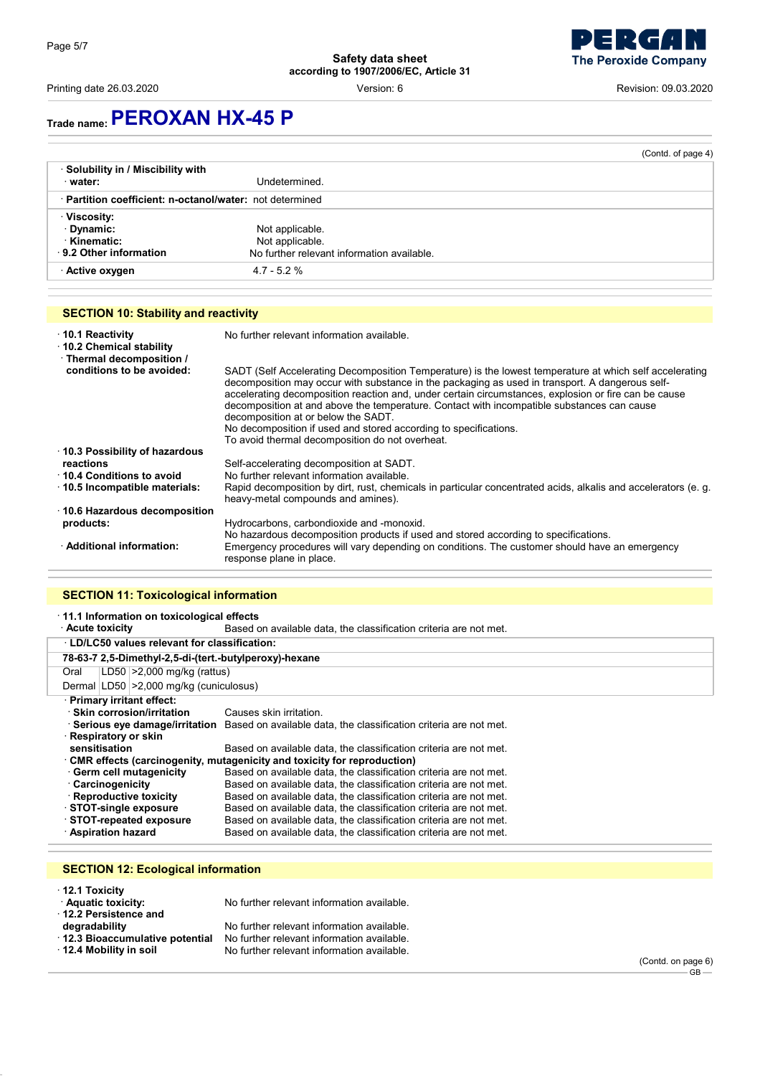Printing date 26.03.2020 Version: 6 Revision: 09.03.2020

# **Trade name:PEROXAN HX-45 P**

|                                                          |                                            | (Contd. of page 4) |
|----------------------------------------------------------|--------------------------------------------|--------------------|
| Solubility in / Miscibility with                         |                                            |                    |
| · water:                                                 | Undetermined.                              |                    |
| · Partition coefficient: n-octanol/water: not determined |                                            |                    |
| <b>⋅Viscosity:</b>                                       |                                            |                    |
| · Dynamic:                                               | Not applicable.                            |                    |
| <b>Kinematic:</b>                                        | Not applicable.                            |                    |
| 9.2 Other information                                    | No further relevant information available. |                    |
| · Active oxygen                                          | $4.7 - 5.2 \%$                             |                    |

# **SECTION 10: Stability and reactivity**

| $\cdot$ 10.1 Reactivity<br>10.2 Chemical stability<br>· Thermal decomposition / | No further relevant information available.                                                                                                                                                                                                                                                                                                                                                                                                                                                                                                                                     |
|---------------------------------------------------------------------------------|--------------------------------------------------------------------------------------------------------------------------------------------------------------------------------------------------------------------------------------------------------------------------------------------------------------------------------------------------------------------------------------------------------------------------------------------------------------------------------------------------------------------------------------------------------------------------------|
| conditions to be avoided:                                                       | SADT (Self Accelerating Decomposition Temperature) is the lowest temperature at which self accelerating<br>decomposition may occur with substance in the packaging as used in transport. A dangerous self-<br>accelerating decomposition reaction and, under certain circumstances, explosion or fire can be cause<br>decomposition at and above the temperature. Contact with incompatible substances can cause<br>decomposition at or below the SADT.<br>No decomposition if used and stored according to specifications.<br>To avoid thermal decomposition do not overheat. |
| ⋅ 10.3 Possibility of hazardous                                                 |                                                                                                                                                                                                                                                                                                                                                                                                                                                                                                                                                                                |
| reactions                                                                       | Self-accelerating decomposition at SADT.                                                                                                                                                                                                                                                                                                                                                                                                                                                                                                                                       |
| 10.4 Conditions to avoid                                                        | No further relevant information available.                                                                                                                                                                                                                                                                                                                                                                                                                                                                                                                                     |
| $\cdot$ 10.5 Incompatible materials:                                            | Rapid decomposition by dirt, rust, chemicals in particular concentrated acids, alkalis and accelerators (e. q.<br>heavy-metal compounds and amines).                                                                                                                                                                                                                                                                                                                                                                                                                           |
| $\cdot$ 10.6 Hazardous decomposition                                            |                                                                                                                                                                                                                                                                                                                                                                                                                                                                                                                                                                                |
| products:                                                                       | Hydrocarbons, carbondioxide and -monoxid.<br>No hazardous decomposition products if used and stored according to specifications.                                                                                                                                                                                                                                                                                                                                                                                                                                               |
| · Additional information:                                                       | Emergency procedures will vary depending on conditions. The customer should have an emergency<br>response plane in place.                                                                                                                                                                                                                                                                                                                                                                                                                                                      |

#### **SECTION 11: Toxicological information**

#### · **11.1 Information on toxicological effects**

|                                                                                 | Based on available data, the classification criteria are not met.<br><b>∴Acute toxicity</b>        |                                         |                                                                   |
|---------------------------------------------------------------------------------|----------------------------------------------------------------------------------------------------|-----------------------------------------|-------------------------------------------------------------------|
|                                                                                 | . LD/LC50 values relevant for classification:                                                      |                                         |                                                                   |
|                                                                                 |                                                                                                    |                                         | 78-63-7 2,5-Dimethyl-2,5-di-(tert.-butylperoxy)-hexane            |
| Oral                                                                            |                                                                                                    | $LD50$ > 2,000 mg/kg (rattus)           |                                                                   |
|                                                                                 |                                                                                                    | Dermal LD50 > 2,000 mg/kg (cuniculosus) |                                                                   |
|                                                                                 |                                                                                                    | · Primary irritant effect:              |                                                                   |
|                                                                                 |                                                                                                    | $\cdot$ Skin corrosion/irritation       | Causes skin irritation.                                           |
|                                                                                 | Serious eye damage/irritation<br>Based on available data, the classification criteria are not met. |                                         |                                                                   |
|                                                                                 | · Respiratory or skin                                                                              |                                         |                                                                   |
|                                                                                 | sensitisation<br>Based on available data, the classification criteria are not met.                 |                                         |                                                                   |
| $\cdot$ CMR effects (carcinogenity, mutagenicity and toxicity for reproduction) |                                                                                                    |                                         |                                                                   |
|                                                                                 | Based on available data, the classification criteria are not met.<br>Germ cell mutagenicity        |                                         |                                                                   |
|                                                                                 | Carcinogenicity                                                                                    |                                         | Based on available data, the classification criteria are not met. |
|                                                                                 |                                                                                                    | Reproductive toxicity                   | Based on available data, the classification criteria are not met. |
|                                                                                 |                                                                                                    | ⋅ STOT-single exposure                  | Based on available data, the classification criteria are not met. |
|                                                                                 |                                                                                                    | STOT-repeated exposure                  | Based on available data, the classification criteria are not met. |
| · Aspiration hazard                                                             |                                                                                                    |                                         | Based on available data, the classification criteria are not met. |

# **SECTION 12: Ecological information**

| $\cdot$ 12.1 Toxicity<br>· Aquatic toxicity:<br>12.2 Persistence and | No further relevant information available. |
|----------------------------------------------------------------------|--------------------------------------------|
| degradability                                                        | No further relevant information available. |
| 12.3 Bioaccumulative potential                                       | No further relevant information available. |
| 12.4 Mobility in soil                                                | No further relevant information available. |

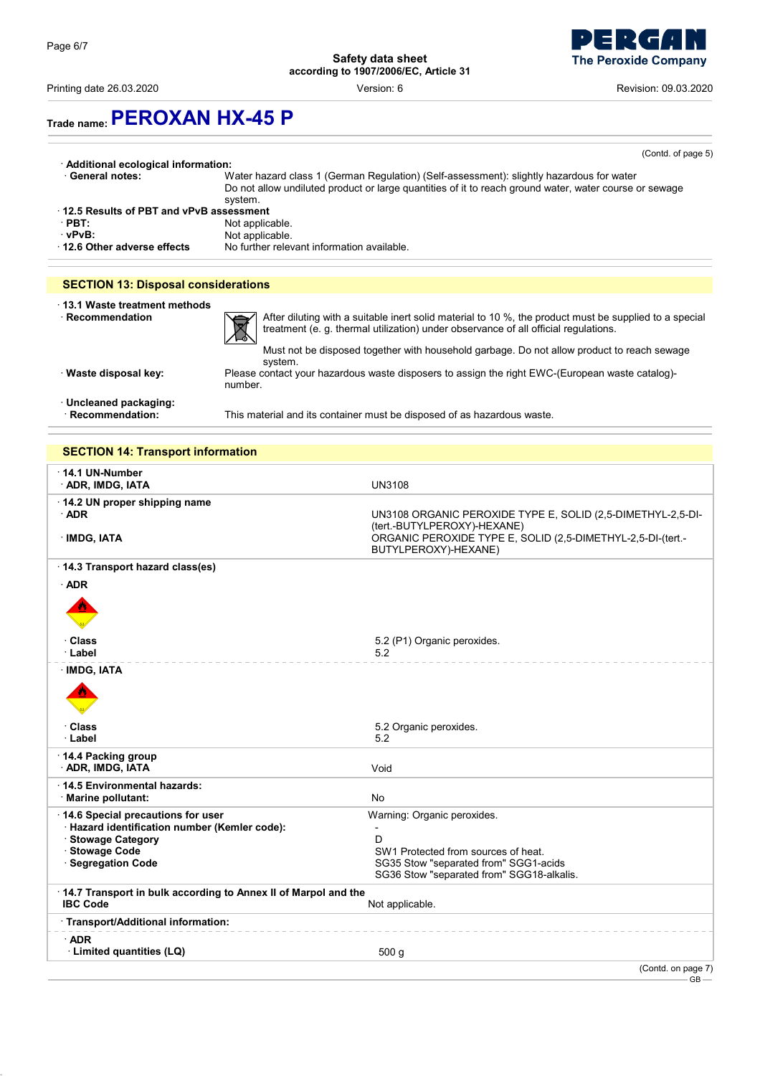Printing date 26.03.2020 Version: 6 Revision: 09.03.2020

**The Peroxide Company** 

# **Trade name:PEROXAN HX-45 P**

|                                                  | (Contd. of page 5)                                                                                                                                                                                            |  |  |
|--------------------------------------------------|---------------------------------------------------------------------------------------------------------------------------------------------------------------------------------------------------------------|--|--|
| · Additional ecological information:             |                                                                                                                                                                                                               |  |  |
| · General notes:                                 | Water hazard class 1 (German Regulation) (Self-assessment): slightly hazardous for water<br>Do not allow undiluted product or large quantities of it to reach ground water, water course or sewage<br>system. |  |  |
| 12.5 Results of PBT and vPvB assessment          |                                                                                                                                                                                                               |  |  |
| $\cdot$ PBT:                                     | Not applicable.                                                                                                                                                                                               |  |  |
| ∵vPvB:                                           | Not applicable.                                                                                                                                                                                               |  |  |
| 12.6 Other adverse effects                       | No further relevant information available.                                                                                                                                                                    |  |  |
|                                                  |                                                                                                                                                                                                               |  |  |
| <b>SECTION 13: Disposal considerations</b>       |                                                                                                                                                                                                               |  |  |
| 13.1 Waste treatment methods<br>· Recommendation | After diluting with a suitable inert solid material to 10 %, the product must be supplied to a special                                                                                                        |  |  |
|                                                  | treatment (e. g. thermal utilization) under observance of all official regulations.                                                                                                                           |  |  |

treatment (e. g. thermal utilization) under observance of all official regulations.

Must not be disposed together with household garbage. Do not allow product to reach sewage system. · **Waste disposal key:** Please contact your hazardous waste disposers to assign the right EWC-(European waste catalog) number.

· **Uncleaned packaging:**

This material and its container must be disposed of as hazardous waste.

### **SECTION 14: Transport information**

| $\cdot$ 14.1 UN-Number<br><b>ADR, IMDG, IATA</b>                                                                                                 | <b>UN3108</b>                                                                                                                                                                     |
|--------------------------------------------------------------------------------------------------------------------------------------------------|-----------------------------------------------------------------------------------------------------------------------------------------------------------------------------------|
| $\cdot$ 14.2 UN proper shipping name<br>$\cdot$ ADR<br>· IMDG, IATA                                                                              | UN3108 ORGANIC PEROXIDE TYPE E, SOLID (2,5-DIMETHYL-2,5-DI-<br>(tert.-BUTYLPEROXY)-HEXANE)<br>ORGANIC PEROXIDE TYPE E, SOLID (2,5-DIMETHYL-2,5-DI-(tert.-<br>BUTYLPEROXY)-HEXANE) |
| 14.3 Transport hazard class(es)                                                                                                                  |                                                                                                                                                                                   |
| $·$ ADR                                                                                                                                          |                                                                                                                                                                                   |
| · Class                                                                                                                                          | 5.2 (P1) Organic peroxides.                                                                                                                                                       |
| · Label                                                                                                                                          | 5.2                                                                                                                                                                               |
| · IMDG, IATA                                                                                                                                     |                                                                                                                                                                                   |
| · Class<br>· Label                                                                                                                               | 5.2 Organic peroxides.<br>5.2                                                                                                                                                     |
| 14.4 Packing group<br><b>ADR, IMDG, IATA</b>                                                                                                     | Void                                                                                                                                                                              |
| 14.5 Environmental hazards:<br>· Marine pollutant:                                                                                               | No                                                                                                                                                                                |
| 14.6 Special precautions for user<br>· Hazard identification number (Kemler code):<br>· Stowage Category<br>· Stowage Code<br>· Segregation Code | Warning: Organic peroxides.<br>D<br>SW1 Protected from sources of heat.<br>SG35 Stow "separated from" SGG1-acids<br>SG36 Stow "separated from" SGG18-alkalis.                     |
| 14.7 Transport in bulk according to Annex II of Marpol and the<br><b>IBC Code</b>                                                                | Not applicable.                                                                                                                                                                   |
| · Transport/Additional information:                                                                                                              |                                                                                                                                                                                   |
| $·$ ADR<br>· Limited quantities (LQ)                                                                                                             | 500 <sub>g</sub>                                                                                                                                                                  |
|                                                                                                                                                  | (Contd. on page 7)<br>$GB -$                                                                                                                                                      |